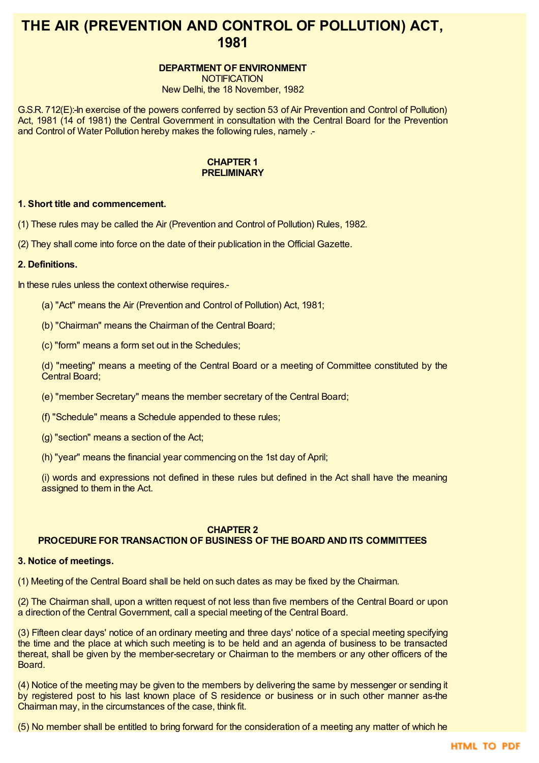# **THE AIR (PREVENTION AND CONTROL OF POLLUTION) ACT, 1981**

# **DEPARTMENT OF ENVIRONMENT**

**NOTIFICATION** 

New Delhi, the 18 November, 1982

G.S.R. 712(E):-In exercise of the powers conferred by section 53 of Air Prevention and Control of Pollution) Act, 1981 (14 of 1981) the Central Government in consultation with the Central Board for the Prevention and Control of Water Pollution hereby makes the following rules, namely .-

#### **CHAPTER 1 PRELIMINARY**

# **1. Short title and commencement.**

(1) These rules may be called the Air (Prevention and Control of Pollution) Rules, 1982.

(2) They shall come into force on the date of their publication in the Official Gazette.

## **2. Definitions.**

In these rules unless the context otherwise requires.-

- (a) "Act" means the Air (Prevention and Control of Pollution) Act, 1981;
- (b) "Chairman" means the Chairman of the Central Board;
- (c) "form" means a form set out in the Schedules;

(d) "meeting" means a meeting of the Central Board or a meeting of Committee constituted by the Central Board;

- (e) "member Secretary" means the member secretary of the Central Board;
- (f) "Schedule" means a Schedule appended to these rules;
- (g) "section" means a section of the Act;
- (h) "year" means the financial year commencing on the 1st day of April;

(i) words and expressions not defined in these rules but defined in the Act shall have the meaning assigned to them in the Act.

# **CHAPTER 2**

# **PROCEDURE FOR TRANSACTION OF BUSINESS OF THE BOARD AND ITS COMMITTEES**

#### **3. Notice of meetings.**

(1) Meeting of the Central Board shall be held on such dates as may be fixed by the Chairman.

(2) The Chairman shall, upon a written request of not less than five members of the Central Board or upon a direction of the Central Government, call a special meeting of the Central Board.

(3) Fifteen clear days' notice of an ordinary meeting and three days' notice of a special meeting specifying the time and the place at which such meeting is to be held and an agenda of business to be transacted thereat, shall be given by the member-secretary or Chairman to the members or any other officers of the Board.

(4) Notice of the meeting may be given to the members by delivering the same by messenger or sending it by registered post to his last known place of S residence or business or in such other manner as-the Chairman may, in the circumstances of the case, think fit.

(5) No member shall be entitled to bring forward for the consideration of a meeting any matter of which he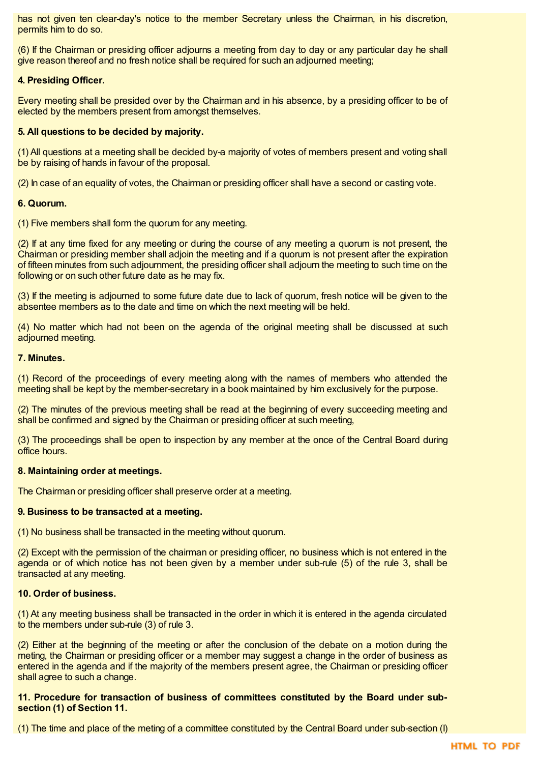has not given ten clear-day's notice to the member Secretary unless the Chairman, in his discretion, permits him to do so.

(6) If the Chairman or presiding officer adjourns a meeting from day to day or any particular day he shall give reason thereof and no fresh notice shall be required for such an adjourned meeting;

# **4. Presiding Officer.**

Every meeting shall be presided over by the Chairman and in his absence, by a presiding officer to be of elected by the members present from amongst themselves.

# **5. All questions to be decided by majority.**

(1) All questions at a meeting shall be decided by-a majority of votes of members present and voting shall be by raising of hands in favour of the proposal.

(2) In case of an equality of votes, the Chairman or presiding officer shall have a second or casting vote.

## **6. Quorum.**

(1) Five members shall form the quorum for any meeting.

(2) If at any time fixed for any meeting or during the course of any meeting a quorum is not present, the Chairman or presiding member shall adjoin the meeting and if a quorum is not present after the expiration of fifteen minutes from such adjournment, the presiding officer shall adjourn the meeting to such time on the following or on such other future date as he may fix.

(3) If the meeting is adjourned to some future date due to lack of quorum, fresh notice will be given to the absentee members as to the date and time on which the next meeting will be held.

(4) No matter which had not been on the agenda of the original meeting shall be discussed at such adjourned meeting.

## **7. Minutes.**

(1) Record of the proceedings of every meeting along with the names of members who attended the meeting shall be kept by the member-secretary in a book maintained by him exclusively for the purpose.

(2) The minutes of the previous meeting shall be read at the beginning of every succeeding meeting and shall be confirmed and signed by the Chairman or presiding officer at such meeting,

(3) The proceedings shall be open to inspection by any member at the once of the Central Board during office hours.

# **8. Maintaining order at meetings.**

The Chairman or presiding officer shall preserve order at a meeting.

# **9. Business to be transacted at a meeting.**

(1) No business shall be transacted in the meeting without quorum.

(2) Except with the permission of the chairman or presiding officer, no business which is not entered in the agenda or of which notice has not been given by a member under sub-rule (5) of the rule 3, shall be transacted at any meeting.

# **10. Order of business.**

(1) At any meeting business shall be transacted in the order in which it is entered in the agenda circulated to the members under sub-rule (3) of rule 3.

(2) Either at the beginning of the meeting or after the conclusion of the debate on a motion during the meting, the Chairman or presiding officer or a member may suggest a change in the order of business as entered in the agenda and if the majority of the members present agree, the Chairman or presiding officer shall agree to such a change.

## **11. Procedure for transaction of business of committees constituted by the Board under subsection (1) of Section 11.**

(1) The time and place of the meting of a committee constituted by the Central Board under sub-section (I)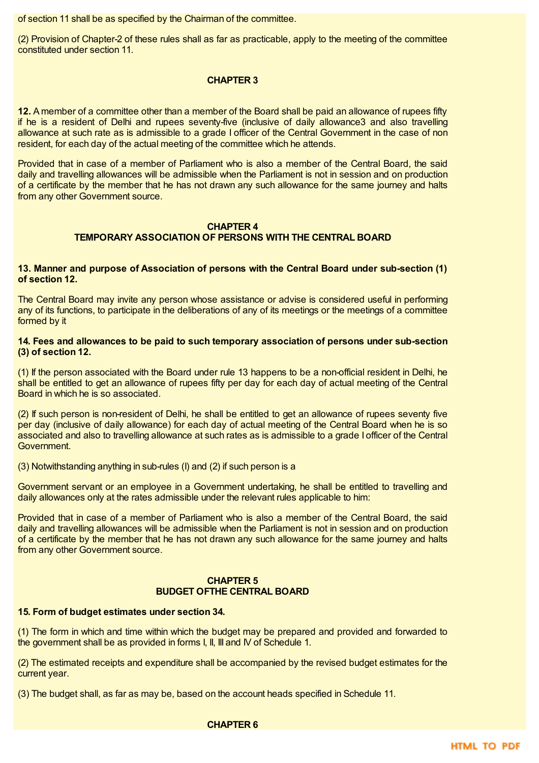of section 11 shall be as specified by the Chairman of the committee.

(2) Provision of Chapter-2 of these rules shall as far as practicable, apply to the meeting of the committee constituted under section 11.

# **CHAPTER 3**

**12.** A member of a committee other than a member of the Board shall be paid an allowance of rupees fifty if he is a resident of Delhi and rupees seventy-five (inclusive of daily allowance3 and also travelling allowance at such rate as is admissible to a grade I officer of the Central Government in the case of non resident, for each day of the actual meeting of the committee which he attends.

Provided that in case of a member of Parliament who is also a member of the Central Board, the said daily and travelling allowances will be admissible when the Parliament is not in session and on production of a certificate by the member that he has not drawn any such allowance for the same journey and halts from any other Government source.

#### **CHAPTER 4 TEMPORARY ASSOCIATION OF PERSONS WITH THE CENTRAL BOARD**

# **13. Manner and purpose of Association of persons with the Central Board under sub-section (1) of section 12.**

The Central Board may invite any person whose assistance or advise is considered useful in performing any of its functions, to participate in the deliberations of any of its meetings or the meetings of a committee formed by it

## **14. Fees and allowances to be paid to such temporary association of persons under sub-section (3) of section 12.**

(1) If the person associated with the Board under rule 13 happens to be a non-official resident in Delhi, he shall be entitled to get an allowance of rupees fifty per day for each day of actual meeting of the Central Board in which he is so associated.

(2) If such person is non-resident of Delhi, he shall be entitled to get an allowance of rupees seventy five per day (inclusive of daily allowance) for each day of actual meeting of the Central Board when he is so associated and also to travelling allowance at such rates as is admissible to a grade I officer of the Central Government.

(3) Notwithstanding anything in sub-rules (I) and (2) if such person is a

Government servant or an employee in a Government undertaking, he shall be entitled to travelling and daily allowances only at the rates admissible under the relevant rules applicable to him:

Provided that in case of a member of Parliament who is also a member of the Central Board, the said daily and travelling allowances will be admissible when the Parliament is not in session and on production of a certificate by the member that he has not drawn any such allowance for the same journey and halts from any other Government source.

## **CHAPTER 5 BUDGET OFTHE CENTRAL BOARD**

# **15. Form of budget estimates under section 34.**

(1) The form in which and time within which the budget may be prepared and provided and forwarded to the government shall be as provided in forms I, II, III and IV of Schedule 1.

(2) The estimated receipts and expenditure shall be accompanied by the revised budget estimates for the current year.

(3) The budget shall, as far as may be, based on the account heads specified in Schedule 11.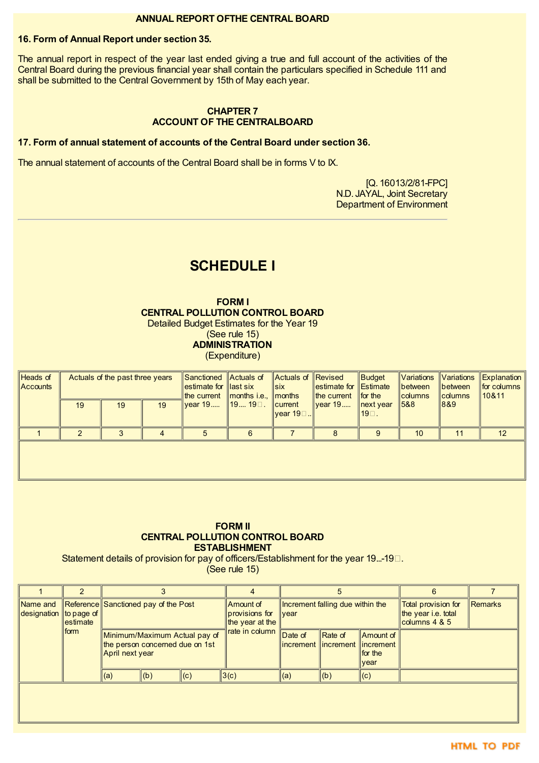# **ANNUAL REPORT OFTHE CENTRAL BOARD**

# **16. Form of Annual Report under section 35.**

The annual report in respect of the year last ended giving a true and full account of the activities of the Central Board during the previous financial year shall contain the particulars specified in Schedule 111 and shall be submitted to the Central Government by 15th of May each year.

# **CHAPTER 7 ACCOUNT OF THE CENTRALBOARD**

# **17. Form of annual statement of accounts of the Central Board under section 36.**

The annual statement of accounts of the Central Board shall be in forms V to IX.

[Q. 16013/2/81-FPC] N.D. JAYAL, Joint Secretary Department of Environment

# **SCHEDULE I**

**FORM I CENTRAL POLLUTION CONTROL BOARD** Detailed Budget Estimates for the Year 19

(See rule 15)

**ADMINISTRATION** (Expenditure)

| Heads of<br>$\parallel$ Accounts | Actuals of the past three years |    |    | Sanctioned Actuals of<br>estimate for llast six<br>the current Imonths i.e., Imonths |   | Actuals of Revised<br>$\ $ six | $\parallel$ estimate for $\parallel$ Estimate<br>$\ $ the current $\ $ | Budget<br>$\parallel$ for the         | Variations<br>$\parallel$ between<br>$\ $ columns | <b>Ibetween</b><br>$\sf{I}$ columns | Variations Explanation<br>$\ $ for columns<br> 10&11 |
|----------------------------------|---------------------------------|----|----|--------------------------------------------------------------------------------------|---|--------------------------------|------------------------------------------------------------------------|---------------------------------------|---------------------------------------------------|-------------------------------------|------------------------------------------------------|
|                                  | 19                              | 19 | 19 | <u> vear 19</u> ∥19 19□.                                                             |   | $\ $ current<br>∥vear 19⊡I     | $\parallel$ vear 19                                                    | $\parallel$ next year<br>$19^\circ$ . | ‼5&8                                              | 18&9                                |                                                      |
|                                  |                                 |    |    |                                                                                      | 6 |                                |                                                                        |                                       | 10                                                |                                     | 12 <sup>2</sup>                                      |
|                                  |                                 |    |    |                                                                                      |   |                                |                                                                        |                                       |                                                   |                                     |                                                      |

#### **FORM II CENTRAL POLLUTION CONTROL BOARD ESTABLISHMENT**

Statement details of provision for pay of officers/Establishment for the year 19...-19 $\Box$ .

(See rule 15)

|                         | 2                            |                                                                                     |     |     |                                                                  | 5                                                |                 |                                                                           | 6                                                             |         |
|-------------------------|------------------------------|-------------------------------------------------------------------------------------|-----|-----|------------------------------------------------------------------|--------------------------------------------------|-----------------|---------------------------------------------------------------------------|---------------------------------------------------------------|---------|
| Name and<br>designation | $\ $ to page of<br>lestimate | Reference Sanctioned pay of the Post                                                |     |     | Amount of<br>provisions for<br>the year at the<br>rate in column | Increment falling due within the<br><u> vear</u> |                 |                                                                           | Total provision for<br>the year i.e. total<br>columns $4 & 5$ | Remarks |
|                         | form                         | Minimum/Maximum Actual pay of<br>the person concerned due on 1st<br>April next year |     |     |                                                                  | Date of                                          | Rate of         | Amount of<br>lincrement llincrement llincrement l<br>$\ $ for the<br>vear |                                                               |         |
|                         |                              | $\parallel$ (a)                                                                     | (b) | (c) | 3(c)                                                             | (a)                                              | $\parallel$ (b) | (c)                                                                       |                                                               |         |
|                         |                              |                                                                                     |     |     |                                                                  |                                                  |                 |                                                                           |                                                               |         |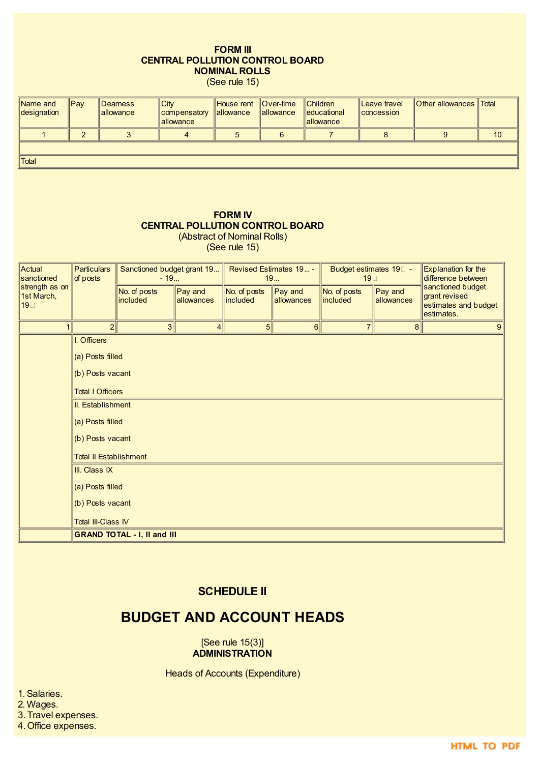# **FORM III CENTRAL POLLUTION CONTROL BOARD NOMINAL ROLLS**

(See rule 15)

| Name and<br>designation | $\ $ Pay | Dearness<br>lallowance | <b>City</b><br>compensatory<br>lallowance | House rent<br><b>allowance</b> | $\blacksquare$ Over-time<br><b>lallowance</b> | <b>Children</b><br><b>leducational</b><br><b>lallowance</b> | Leave travel<br><b>Concession</b> | <b>Other allowances</b> Total |    |
|-------------------------|----------|------------------------|-------------------------------------------|--------------------------------|-----------------------------------------------|-------------------------------------------------------------|-----------------------------------|-------------------------------|----|
|                         |          |                        |                                           |                                |                                               |                                                             |                                   |                               | 10 |
|                         |          |                        |                                           |                                |                                               |                                                             |                                   |                               |    |
| <b>Total</b>            |          |                        |                                           |                                |                                               |                                                             |                                   |                               |    |

#### **FORM IV CENTRAL POLLUTION CONTROL BOARD** (Abstract of Nominal Rolls)

(See rule 15)

Actual sanctioned strength as on 1st March, 19□ Particulars of posts Sanctioned budget grant 19...  $-19.$ Revised Estimates 19... - 19... Budget estimates 19<sup> $-$ </sup> 19 Explanation for the difference between sanctioned budget grant revised estimates and budget estimates. No. of posts included Pay and allowances No. of posts included Pay and allowances No. of posts included Pay and allowances  $1 \quad 2 \quad 3 \quad 4 \quad 5 \quad 6 \quad 7 \quad 8 \quad 9$ I. Officers (a) Posts filled (b) Posts vacant Total I Officers II. Establishment (a) Posts filled (b) Posts vacant Total II Establishment III. Class IX (a) Posts filled (b) Posts vacant **Total III-Class IV GRAND TOTAL - I, II and III**

# **SCHEDULE II**

# **BUDGET AND ACCOUNT HEADS**

[See rule 15(3)] **ADMINISTRATION**

Heads of Accounts (Expenditure)

1.Salaries.

2. Wages.

3. Travel expenses.

4. Office expenses.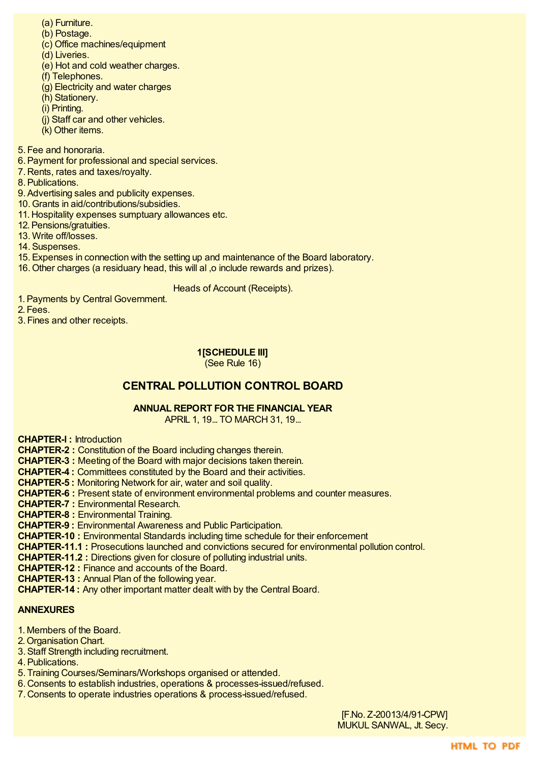- (a) Furniture.
- (b) Postage.
- (c) Office machines/equipment
- (d) Liveries.
- (e) Hot and cold weather charges.
- (f) Telephones.
- (g) Electricity and water charges
- (h) Stationery.
- (i) Printing.
- (j) Staff car and other vehicles.
- (k) Other items.
- 5. Fee and honoraria.
- 6.Payment for professional and special services.
- 7. Rents, rates and taxes/royalty.
- 8.Publications.

9.Advertising sales and publicity expenses.

- 10. Grants in aid/contributions/subsidies.
- 11. Hospitality expenses sumptuary allowances etc.
- 12.Pensions/gratuities.
- 13. Write off/losses.

14.Suspenses.

- 15.Expenses in connection with the setting up and maintenance of the Board laboratory.
- 16. Other charges (a residuary head, this will al ,o include rewards and prizes).

# Heads of Account (Receipts).

- 1.Payments by Central Government.
- 2. Fees.
- 3. Fines and other receipts.

# **1[SCHEDULE III]**



# **CENTRAL POLLUTION CONTROL BOARD**

# **ANNUAL REPORT FOR THE FINANCIAL YEAR**

APRIL 1, 19... TO MARCH 31, 19...

**CHAPTER-l :** Introduction

**CHAPTER-2 :** Constitution of the Board including changes therein.

**CHAPTER-3 :** Meeting of the Board with major decisions taken therein.

**CHAPTER-4 :** Committees constituted by the Board and their activities.

**CHAPTER-5 :** Monitoring Network for air, water and soil quality.

**CHAPTER-6 :** Present state of environment environmental problems and counter measures.

**CHAPTER-7 :** Environmental Research.

**CHAPTER-8 :** Environmental Training.

**CHAPTER-9 :** Environmental Awareness and Public Participation.

**CHAPTER-10 :** Environmental Standards including time schedule for their enforcement

**CHAPTER-11.1 :** Prosecutions launched and convictions secured for environmental pollution control.

**CHAPTER-11.2 :** Directions given for closure of polluting industrial units.

**CHAPTER-12 :** Finance and accounts of the Board.

**CHAPTER-13 :** Annual Plan of the following year.

**CHAPTER-14 :** Any other important matter dealt with by the Central Board.

# **ANNEXURES**

- 1. Members of the Board.
- 2. Organisation Chart.
- 3.Staff Strength including recruitment.
- 4.Publications.
- 5. Training Courses/Seminars/Workshops organised or attended.
- 6. Consents to establish industries, operations & processes-issued/refused.
- 7. Consents to operate industries operations & process-issued/refused.

[F.No. Z-20013/4/91-CPW] MUKUL SANWAL, Jt. Secy.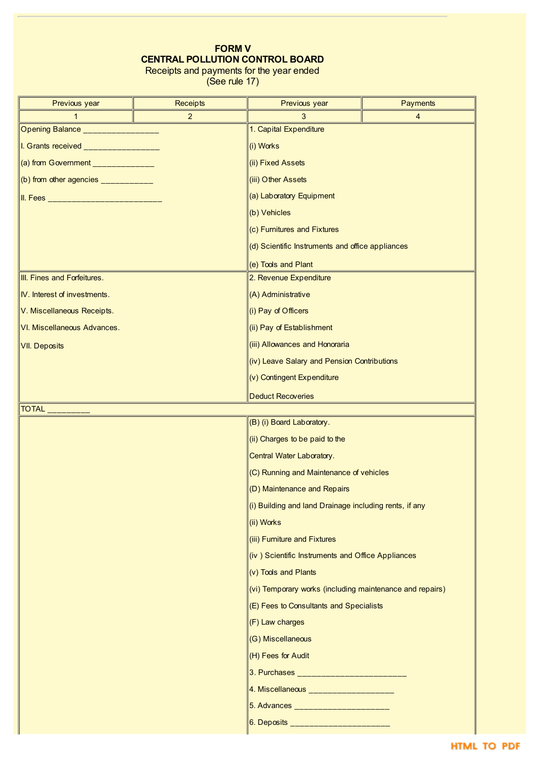# **FORM V CENTRAL POLLUTION CONTROL BOARD** Receipts and payments for the year ended

(See rule 17)

| Previous year                                                                                                                                                                                                                                                                                     | <b>Receipts</b>            | <b>Payments</b><br>Previous year                                                      |  |  |  |  |  |
|---------------------------------------------------------------------------------------------------------------------------------------------------------------------------------------------------------------------------------------------------------------------------------------------------|----------------------------|---------------------------------------------------------------------------------------|--|--|--|--|--|
| $\mathbf{1}$                                                                                                                                                                                                                                                                                      | $\overline{2}$             | $\overline{4}$<br>3<br>1. Capital Expenditure                                         |  |  |  |  |  |
| Opening Balance __________________                                                                                                                                                                                                                                                                |                            |                                                                                       |  |  |  |  |  |
| I. Grants received _________________                                                                                                                                                                                                                                                              |                            | (i) Works                                                                             |  |  |  |  |  |
| (a) from Government ______________                                                                                                                                                                                                                                                                |                            | (ii) Fixed Assets                                                                     |  |  |  |  |  |
| (b) from other agencies $\frac{1}{2}$ = $\frac{1}{2}$ = $\frac{1}{2}$ = $\frac{1}{2}$ = $\frac{1}{2}$ = $\frac{1}{2}$ = $\frac{1}{2}$ = $\frac{1}{2}$ = $\frac{1}{2}$ = $\frac{1}{2}$ = $\frac{1}{2}$ = $\frac{1}{2}$ = $\frac{1}{2}$ = $\frac{1}{2}$ = $\frac{1}{2}$ = $\frac{1}{2}$ = $\frac{1$ |                            | (iii) Other Assets                                                                    |  |  |  |  |  |
|                                                                                                                                                                                                                                                                                                   |                            | (a) Laboratory Equipment                                                              |  |  |  |  |  |
|                                                                                                                                                                                                                                                                                                   |                            | (b) Vehicles                                                                          |  |  |  |  |  |
|                                                                                                                                                                                                                                                                                                   |                            | (c) Furnitures and Fixtures                                                           |  |  |  |  |  |
|                                                                                                                                                                                                                                                                                                   |                            | (d) Scientific Instruments and office appliances                                      |  |  |  |  |  |
|                                                                                                                                                                                                                                                                                                   |                            | (e) Tools and Plant                                                                   |  |  |  |  |  |
| III. Fines and Forfeitures.                                                                                                                                                                                                                                                                       |                            | 2. Revenue Expenditure                                                                |  |  |  |  |  |
| IV. Interest of investments.                                                                                                                                                                                                                                                                      |                            | (A) Administrative                                                                    |  |  |  |  |  |
| V. Miscellaneous Receipts.                                                                                                                                                                                                                                                                        |                            | (i) Pay of Officers                                                                   |  |  |  |  |  |
| VI. Miscellaneous Advances.                                                                                                                                                                                                                                                                       |                            | (ii) Pay of Establishment                                                             |  |  |  |  |  |
| <b>VII. Deposits</b>                                                                                                                                                                                                                                                                              |                            | (iii) Allowances and Honoraria                                                        |  |  |  |  |  |
|                                                                                                                                                                                                                                                                                                   |                            | (iv) Leave Salary and Pension Contributions                                           |  |  |  |  |  |
|                                                                                                                                                                                                                                                                                                   | (v) Contingent Expenditure |                                                                                       |  |  |  |  |  |
|                                                                                                                                                                                                                                                                                                   |                            | <b>Deduct Recoveries</b>                                                              |  |  |  |  |  |
|                                                                                                                                                                                                                                                                                                   |                            |                                                                                       |  |  |  |  |  |
|                                                                                                                                                                                                                                                                                                   |                            | (B) (i) Board Laboratory.                                                             |  |  |  |  |  |
|                                                                                                                                                                                                                                                                                                   |                            | (ii) Charges to be paid to the                                                        |  |  |  |  |  |
|                                                                                                                                                                                                                                                                                                   |                            | Central Water Laboratory.                                                             |  |  |  |  |  |
|                                                                                                                                                                                                                                                                                                   |                            | (C) Running and Maintenance of vehicles                                               |  |  |  |  |  |
|                                                                                                                                                                                                                                                                                                   |                            | (D) Maintenance and Repairs<br>(i) Building and land Drainage including rents, if any |  |  |  |  |  |
|                                                                                                                                                                                                                                                                                                   |                            | (ii) Works                                                                            |  |  |  |  |  |
|                                                                                                                                                                                                                                                                                                   |                            |                                                                                       |  |  |  |  |  |
|                                                                                                                                                                                                                                                                                                   |                            | (iii) Furniture and Fixtures<br>(iv) Scientific Instruments and Office Appliances     |  |  |  |  |  |
|                                                                                                                                                                                                                                                                                                   |                            | (v) Tools and Plants                                                                  |  |  |  |  |  |
|                                                                                                                                                                                                                                                                                                   |                            | (vi) Temporary works (including maintenance and repairs)                              |  |  |  |  |  |
|                                                                                                                                                                                                                                                                                                   |                            | (E) Fees to Consultants and Specialists                                               |  |  |  |  |  |
|                                                                                                                                                                                                                                                                                                   |                            |                                                                                       |  |  |  |  |  |
|                                                                                                                                                                                                                                                                                                   |                            | (F) Law charges                                                                       |  |  |  |  |  |
|                                                                                                                                                                                                                                                                                                   |                            | (G) Miscellaneous                                                                     |  |  |  |  |  |
|                                                                                                                                                                                                                                                                                                   |                            | (H) Fees for Audit                                                                    |  |  |  |  |  |
|                                                                                                                                                                                                                                                                                                   |                            | 3. Purchases _____________________________                                            |  |  |  |  |  |
|                                                                                                                                                                                                                                                                                                   |                            | 4. Miscellaneous ______________________                                               |  |  |  |  |  |
|                                                                                                                                                                                                                                                                                                   |                            | 5. Advances _________________________                                                 |  |  |  |  |  |
|                                                                                                                                                                                                                                                                                                   |                            | 6. Deposits _______________________                                                   |  |  |  |  |  |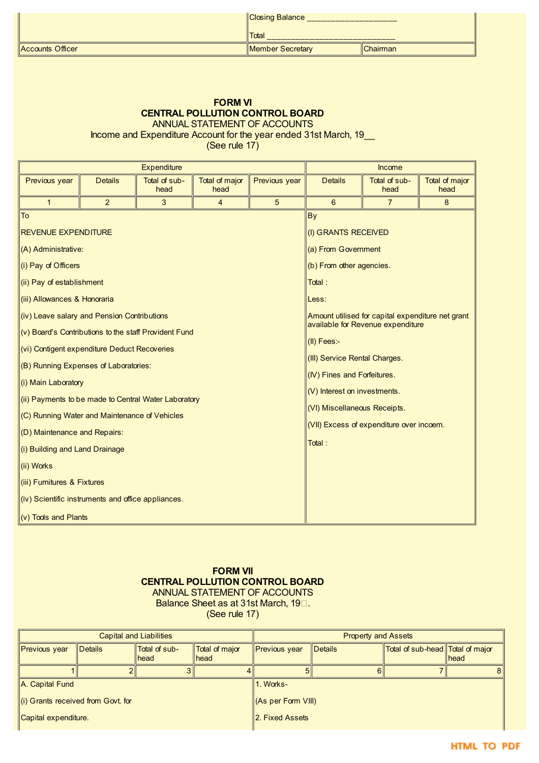|                   | Closing Balance  |          |  |  |
|-------------------|------------------|----------|--|--|
|                   | <b>Total</b>     |          |  |  |
| ∥Accounts Officer | Member Secretary | Chairman |  |  |

# **FORM VI CENTRAL POLLUTION CONTROL BOARD** ANNUAL STATEMENT OF ACCOUNTS

Income and Expenditure Account for the year ended 31st March, 19\_\_

(See rule 17)

| <b>Details</b><br>Total of sub-<br><b>Previous year</b><br>Previous year<br>Total of major<br>head<br>head<br>$\overline{2}$<br>5<br>3<br>$\overline{4}$<br>$\mathbf{1}$<br>To<br><b>By</b>                                                                                                                                                                                                                                                                                                                                                                                                                                                                                                      | <b>Details</b><br>6<br>(I) GRANTS RECEIVED<br>(a) From Government                                                                                                                 | Total of sub-<br>head<br>7                                                                                                         | Total of major<br>head<br>8 |
|--------------------------------------------------------------------------------------------------------------------------------------------------------------------------------------------------------------------------------------------------------------------------------------------------------------------------------------------------------------------------------------------------------------------------------------------------------------------------------------------------------------------------------------------------------------------------------------------------------------------------------------------------------------------------------------------------|-----------------------------------------------------------------------------------------------------------------------------------------------------------------------------------|------------------------------------------------------------------------------------------------------------------------------------|-----------------------------|
|                                                                                                                                                                                                                                                                                                                                                                                                                                                                                                                                                                                                                                                                                                  |                                                                                                                                                                                   |                                                                                                                                    |                             |
|                                                                                                                                                                                                                                                                                                                                                                                                                                                                                                                                                                                                                                                                                                  |                                                                                                                                                                                   |                                                                                                                                    |                             |
| <b>REVENUE EXPENDITURE</b><br>(A) Administrative:<br>(i) Pay of Officers<br>(ii) Pay of establishment<br>Total:<br>(iii) Allowances & Honoraria<br>Less:<br>(iv) Leave salary and Pension Contributions<br>(v) Board's Contributions to the staff Provident Fund<br>(vi) Contigent expenditure Deduct Recoveries<br>(B) Running Expenses of Laboratories:<br>(i) Main Laboratory<br>(ii) Payments to be made to Central Water Laboratory<br>(C) Running Water and Maintenance of Vehicles<br>(D) Maintenance and Repairs:<br>Total:<br>(i) Building and Land Drainage<br>(ii) Works<br>(iii) Furnitures & Fixtures<br>(iv) Scientific instruments and office appliances.<br>(v) Tools and Plants | (b) From other agencies.<br>$\vert$ (II) Fees:-<br>(III) Service Rental Charges.<br>(IV) Fines and Forfeitures.<br>$(V)$ Interest on investments.<br>(VI) Miscellaneous Receipts. | Amount utilised for capital expenditure net grant<br>available for Revenue expenditure<br>(VII) Excess of expenditure over incoem. |                             |

# **FORM VII CENTRAL POLLUTION CONTROL BOARD** ANNUAL STATEMENT OF ACCOUNTS Balance Sheet as at 31st March, 19<sup>1</sup>.

(See rule 17)

|                                         |                        | Capital and Liabilities |                                | <b>Property and Assets</b> |                |                                  |       |  |  |
|-----------------------------------------|------------------------|-------------------------|--------------------------------|----------------------------|----------------|----------------------------------|-------|--|--|
| Previous year                           | $\blacksquare$ Details | Total of sub-<br>head   | Total of major<br><b>Ihead</b> | <b>Previous year</b>       | <b>Details</b> | Total of sub-head Total of major | lhead |  |  |
|                                         |                        |                         |                                | b                          | 6              |                                  | 81    |  |  |
| A. Capital Fund                         |                        |                         |                                | 1. Works-                  |                |                                  |       |  |  |
| $\ $ (i) Grants received from Govt. for |                        |                         |                                | (As per Form VIII)         |                |                                  |       |  |  |
| Capital expenditure.                    |                        |                         |                                | 2. Fixed Assets            |                |                                  |       |  |  |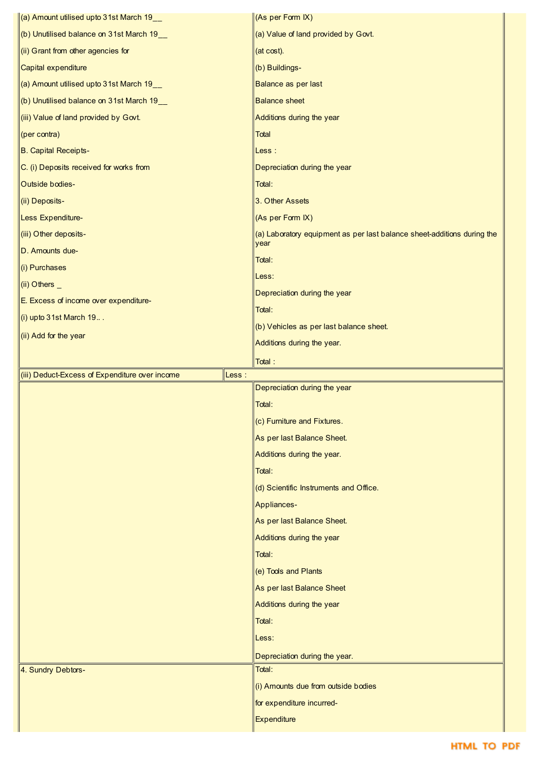| $\left\vert$ (a) Amount utilised upto 31st March 19 $\left\vert \rule{0pt}{10pt} \right.$ | (As per Form IX)                                                                |
|-------------------------------------------------------------------------------------------|---------------------------------------------------------------------------------|
| (b) Unutilised balance on 31st March 19 $-$                                               | (a) Value of land provided by Govt.                                             |
| (ii) Grant from other agencies for                                                        | (at cost).                                                                      |
| Capital expenditure                                                                       | (b) Buildings-                                                                  |
| (a) Amount utilised upto 31st March 19_                                                   | Balance as per last                                                             |
| (b) Unutilised balance on 31st March 19_                                                  | <b>Balance sheet</b>                                                            |
|                                                                                           |                                                                                 |
| (iii) Value of land provided by Govt.                                                     | Additions during the year<br><b>Total</b>                                       |
| $ $ (per contra)                                                                          |                                                                                 |
| B. Capital Receipts-                                                                      | Less :                                                                          |
| C. (i) Deposits received for works from                                                   | Depreciation during the year                                                    |
| Outside bodies-                                                                           | Total:                                                                          |
| (ii) Deposits-                                                                            | 3. Other Assets                                                                 |
| Less Expenditure-                                                                         | (As per Form IX)                                                                |
| (iii) Other deposits-                                                                     | (a) Laboratory equipment as per last balance sheet-additions during the<br>year |
| D. Amounts due-                                                                           | Total:                                                                          |
| (i) Purchases                                                                             | Less:                                                                           |
| $(ii)$ Others $\overline{\phantom{a}}$                                                    | Depreciation during the year                                                    |
| E. Excess of income over expenditure-                                                     | Total:                                                                          |
| (i) upto $31$ st March $19$                                                               | (b) Vehicles as per last balance sheet.                                         |
| (ii) Add for the year                                                                     | Additions during the year.                                                      |
|                                                                                           | Total:                                                                          |
|                                                                                           |                                                                                 |
|                                                                                           |                                                                                 |
| (iii) Deduct-Excess of Expenditure over income                                            | Less:<br>Depreciation during the year                                           |
|                                                                                           | Total:                                                                          |
|                                                                                           | (c) Furniture and Fixtures.                                                     |
|                                                                                           | As per last Balance Sheet.                                                      |
|                                                                                           | Additions during the year.                                                      |
|                                                                                           | Total:                                                                          |
|                                                                                           | (d) Scientific Instruments and Office.                                          |
|                                                                                           | Appliances-                                                                     |
|                                                                                           | As per last Balance Sheet.                                                      |
|                                                                                           | Additions during the year                                                       |
|                                                                                           | Total:                                                                          |
|                                                                                           |                                                                                 |
|                                                                                           | (e) Tools and Plants                                                            |
|                                                                                           | As per last Balance Sheet                                                       |
|                                                                                           | Additions during the year                                                       |
|                                                                                           | Total:                                                                          |
|                                                                                           | Less:                                                                           |
|                                                                                           | Depreciation during the year.<br>Total:                                         |
| 4. Sundry Debtors-                                                                        |                                                                                 |
|                                                                                           | (i) Amounts due from outside bodies                                             |
|                                                                                           | for expenditure incurred-<br>Expenditure                                        |